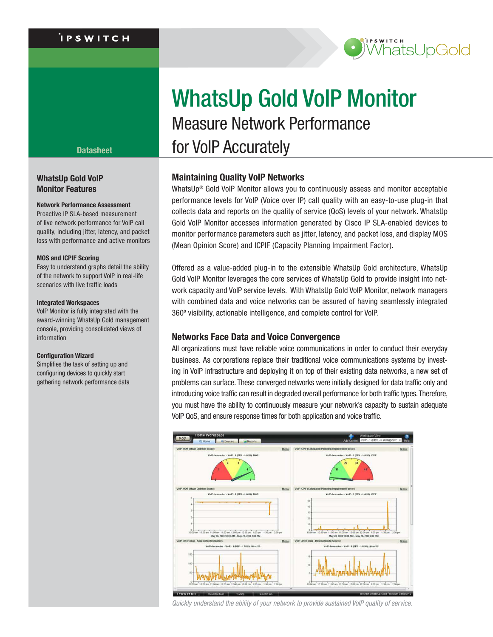# .<br>i P S W I T C H



## **WhatsUp Gold VoIP Monitor Features**

## **Network Performance Assessment**

Proactive IP SLA-based measurement of live network performance for VoIP call quality, including jitter, latency, and packet loss with performance and active monitors

#### **MOS and ICPIF Scoring**

Easy to understand graphs detail the ability of the network to support VoIP in real-life scenarios with live traffic loads

#### **Integrated Workspaces**

VoIP Monitor is fully integrated with the award-winning WhatsUp Gold management console, providing consolidated views of information

## **Configuration Wizard**

Simplifies the task of setting up and configuring devices to quickly start gathering network performance data

# WhatsUp Gold VoIP Monitor Measure Network Performance **Datasheet for VoIP Accurately**

# **Maintaining Quality VoIP Networks**

WhatsUp<sup>®</sup> Gold VoIP Monitor allows you to continuously assess and monitor acceptable performance levels for VoIP (Voice over IP) call quality with an easy-to-use plug-in that collects data and reports on the quality of service (QoS) levels of your network. WhatsUp Gold VoIP Monitor accesses information generated by Cisco IP SLA-enabled devices to monitor performance parameters such as jitter, latency, and packet loss, and display MOS (Mean Opinion Score) and ICPIF (Capacity Planning Impairment Factor).

Offered as a value-added plug-in to the extensible WhatsUp Gold architecture, WhatsUp Gold VoIP Monitor leverages the core services of WhatsUp Gold to provide insight into network capacity and VoIP service levels. With WhatsUp Gold VoIP Monitor, network managers with combined data and voice networks can be assured of having seamlessly integrated 360º visibility, actionable intelligence, and complete control for VoIP.

# **Networks Face Data and Voice Convergence**

All organizations must have reliable voice communications in order to conduct their everyday business. As corporations replace their traditional voice communications systems by investing in VoIP infrastructure and deploying it on top of their existing data networks, a new set of problems can surface. These converged networks were initially designed for data traffic only and introducing voice traffic can result in degraded overall performance for both traffic types. Therefore, you must have the ability to continuously measure your network's capacity to sustain adequate VoIP QoS, and ensure response times for both application and voice traffic.



*Quickly understand the ability of your network to provide sustained VoIP quality of service.*